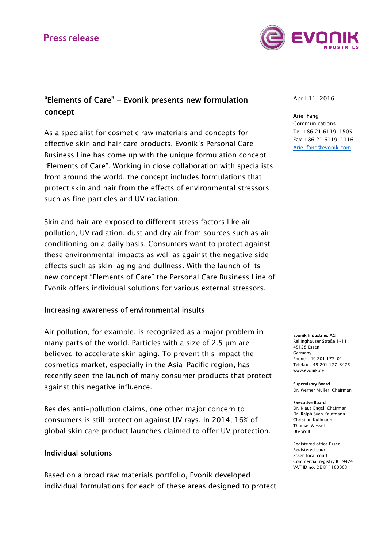# **Press release**



# "Elements of Care" - Evonik presents new formulation concept

As a specialist for cosmetic raw materials and concepts for effective skin and hair care products, Evonik's Personal Care Business Line has come up with the unique formulation concept "Elements of Care". Working in close collaboration with specialists from around the world, the concept includes formulations that protect skin and hair from the effects of environmental stressors such as fine particles and UV radiation.

Skin and hair are exposed to different stress factors like air pollution, UV radiation, dust and dry air from sources such as air conditioning on a daily basis. Consumers want to protect against these environmental impacts as well as against the negative sideeffects such as skin-aging and dullness. With the launch of its new concept "Elements of Care" the Personal Care Business Line of Evonik offers individual solutions for various external stressors.

## Increasing awareness of environmental insults

Air pollution, for example, is recognized as a major problem in many parts of the world. Particles with a size of 2.5 µm are believed to accelerate skin aging. To prevent this impact the cosmetics market, especially in the Asia-Pacific region, has recently seen the launch of many consumer products that protect against this negative influence.

Besides anti-pollution claims, one other major concern to consumers is still protection against UV rays. In 2014, 16% of global skin care product launches claimed to offer UV protection.

## Individual solutions

Based on a broad raw materials portfolio, Evonik developed individual formulations for each of these areas designed to protect April 11, 2016

### Ariel Fang

Communications Tel +86 21 6119-1505 Fax +86 21 6119-1116 Ariel.fang@evonik.com

#### Evonik Industries AG

Rellinghauser Straße 1-11 45128 Essen Germany Phone +49 201 177-01 Telefax +49 201 177-3475 www.evonik.de

#### Supervisory Board

Dr. Werner Müller, Chairman

#### Executive Board

Dr. Klaus Engel, Chairman Dr. Ralph Sven Kaufmann Christian Kullmann Thomas Wessel Ute Wolf

Registered office Essen Registered court Essen local court Commercial registry B 19474 VAT ID no. DE 811160003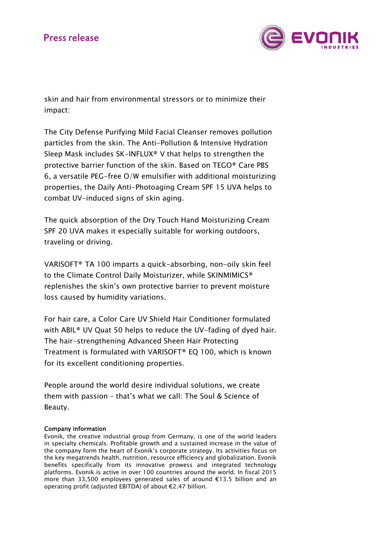

skin and hair from environmental stressors or to minimize their impact:

The City Defense Purifying Mild Facial Cleanser removes pollution particles from the skin. The Anti-Pollution & Intensive Hydration Sleep Mask includes SK-INFLUX® V that helps to strengthen the protective barrier function of the skin. Based on TEGO® Care PBS 6, a versatile PEG-free O/W emulsifier with additional moisturizing properties, the Daily Anti-Photoaging Cream SPF 15 UVA helps to combat UV-induced signs of skin aging.

The quick absorption of the Dry Touch Hand Moisturizing Cream SPF 20 UVA makes it especially suitable for working outdoors, traveling or driving.

VARISOFT® TA 100 imparts a quick-absorbing, non-oily skin feel to the Climate Control Daily Moisturizer, while SKINMIMICS® replenishes the skin's own protective barrier to prevent moisture loss caused by humidity variations.

For hair care, a Color Care UV Shield Hair Conditioner formulated with ABIL® UV Quat 50 helps to reduce the UV-fading of dyed hair. The hair-strengthening Advanced Sheen Hair Protecting Treatment is formulated with VARISOFT® EQ 100, which is known for its excellent conditioning properties.

People around the world desire individual solutions, we create them with passion – that's what we call: The Soul & Science of Beauty.

### Company information

Evonik, the creative industrial group from Germany, is one of the world leaders in specialty chemicals. Profitable growth and a sustained increase in the value of the company form the heart of Evonik's corporate strategy. Its activities focus on the key megatrends health, nutrition, resource efficiency and globalization. Evonik benefits specifically from its innovative prowess and integrated technology platforms. Evonik is active in over 100 countries around the world. In fiscal 2015 more than 33,500 employees generated sales of around €13.5 billion and an operating profit (adjusted EBITDA) of about €2.47 billion.